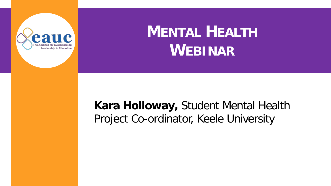

### **MENTAL HEALTH WEBINAR**

#### **Kara Holloway,** Student Mental Health Project Co-ordinator, Keele University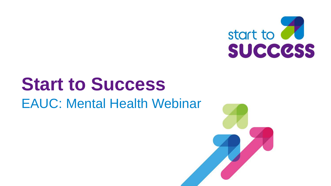

## **Start to Success** EAUC: Mental Health Webinar

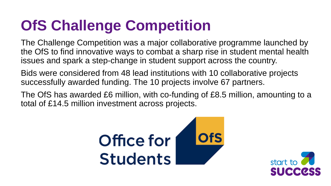## **OfS Challenge Competition**

The Challenge Competition was a major collaborative programme launched by the OfS to find innovative ways to combat a sharp rise in student mental health issues and spark a step-change in student support across the country.

Bids were considered from 48 lead institutions with 10 collaborative projects successfully awarded funding. The 10 projects involve 67 partners.

The OfS has awarded £6 million, with co-funding of £8.5 million, amounting to a total of £14.5 million investment across projects.



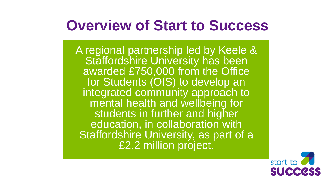#### **Overview of Start to Success**

A regional partnership led by Keele & Staffordshire University has been awarded £750,000 from the Office for Students (OfS) to develop an integrated community approach to mental health and wellbeing for students in further and higher education, in collaboration with Staffordshire University, as part of a £2.2 million project.

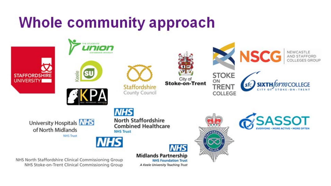### **Whole community approach**





**STLIDENTS** 











NEWCASTLE AND ST





**NHS** University Hospitals NHS of North Midlands **NHS Trust** 



NHS North Staffordshire Clinical Commissioning Group NHS Stoke-on-Trent Clinical Commissioning Group

**North Staffordshire Combined Healthcare NHS Trust** 

> **NHS Midlands Partnership NHS Foundation Trust** A Keele University Teaching Trust



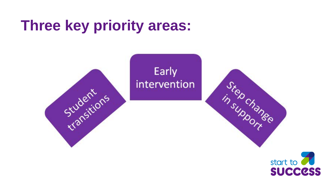### **Three key priority areas:**



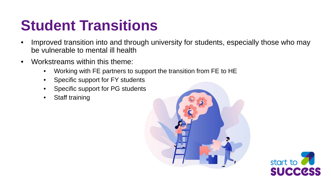### **Student Transitions**

- Improved transition into and through university for students, especially those who may be vulnerable to mental ill health
- Workstreams within this theme:
	- Working with FE partners to support the transition from FE to HE
	- Specific support for FY students
	- Specific support for PG students
	- Staff training



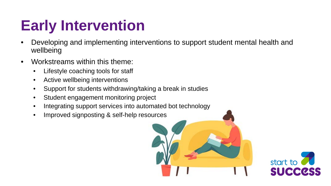## **Early Intervention**

- Developing and implementing interventions to support student mental health and wellbeing
- Workstreams within this theme:
	- Lifestyle coaching tools for staff
	- Active wellbeing interventions
	- Support for students withdrawing/taking a break in studies
	- Student engagement monitoring project
	- Integrating support services into automated bot technology
	- Improved signposting & self-help resources

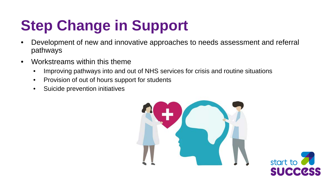# **Step Change in Support**

- Development of new and innovative approaches to needs assessment and referral pathways
- Workstreams within this theme
	- Improving pathways into and out of NHS services for crisis and routine situations
	- Provision of out of hours support for students
	- Suicide prevention initiatives



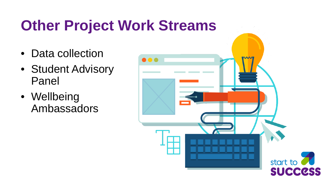### **Other Project Work Streams**

- Data collection
- Student Advisory Panel
- Wellbeing Ambassadors

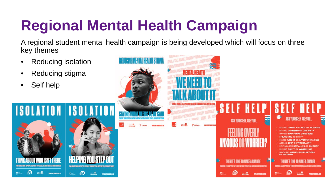# **Regional Mental Health Campaign**

A regional student mental health campaign is being developed which will focus on three key themes

- Reducing isolation
- Reducing stigma
- Self help